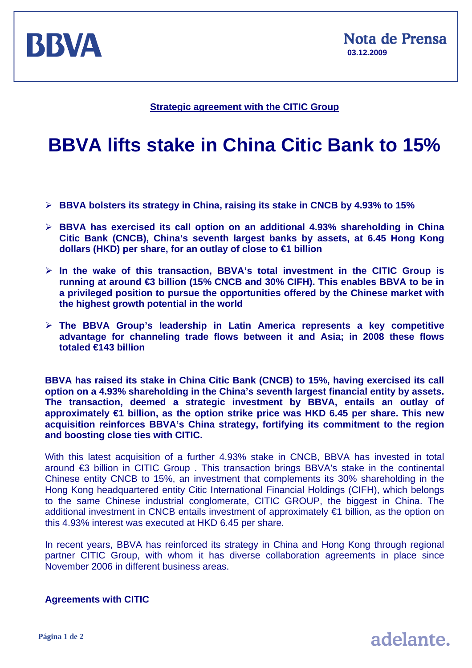

## **Strategic agreement with the CITIC Group**

## **BBVA lifts stake in China Citic Bank to 15%**

- ¾ **BBVA bolsters its strategy in China, raising its stake in CNCB by 4.93% to 15%**
- ¾ **BBVA has exercised its call option on an additional 4.93% shareholding in China Citic Bank (CNCB), China's seventh largest banks by assets, at 6.45 Hong Kong dollars (HKD) per share, for an outlay of close to €1 billion**
- ¾ **In the wake of this transaction, BBVA's total investment in the CITIC Group is running at around €3 billion (15% CNCB and 30% CIFH). This enables BBVA to be in a privileged position to pursue the opportunities offered by the Chinese market with the highest growth potential in the world**
- ¾ **The BBVA Group's leadership in Latin America represents a key competitive advantage for channeling trade flows between it and Asia; in 2008 these flows totaled €143 billion**

**BBVA has raised its stake in China Citic Bank (CNCB) to 15%, having exercised its call option on a 4.93% shareholding in the China's seventh largest financial entity by assets. The transaction, deemed a strategic investment by BBVA, entails an outlay of approximately €1 billion, as the option strike price was HKD 6.45 per share. This new acquisition reinforces BBVA's China strategy, fortifying its commitment to the region and boosting close ties with CITIC.** 

With this latest acquisition of a further 4.93% stake in CNCB, BBVA has invested in total around €3 billion in CITIC Group . This transaction brings BBVA's stake in the continental Chinese entity CNCB to 15%, an investment that complements its 30% shareholding in the Hong Kong headquartered entity Citic International Financial Holdings (CIFH), which belongs to the same Chinese industrial conglomerate, CITIC GROUP, the biggest in China. The additional investment in CNCB entails investment of approximately €1 billion, as the option on this 4.93% interest was executed at HKD 6.45 per share.

In recent years, BBVA has reinforced its strategy in China and Hong Kong through regional partner CITIC Group, with whom it has diverse collaboration agreements in place since November 2006 in different business areas.

**Agreements with CITIC**